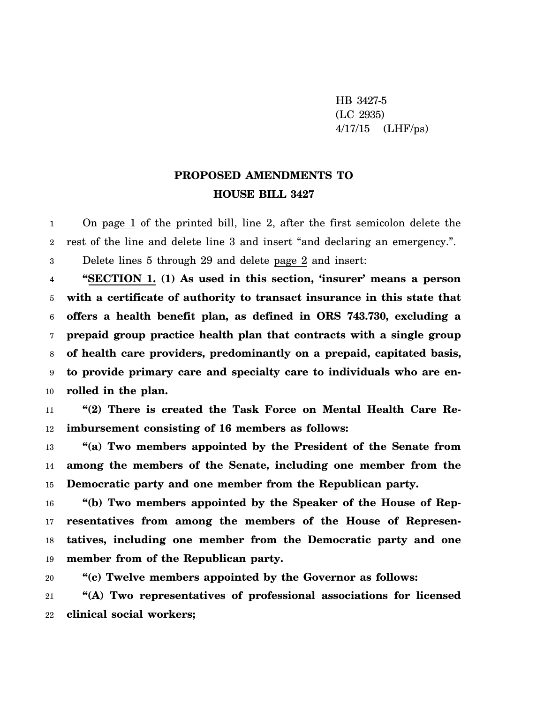HB 3427-5 (LC 2935) 4/17/15 (LHF/ps)

## **PROPOSED AMENDMENTS TO HOUSE BILL 3427**

1  $\overline{2}$ On page 1 of the printed bill, line 2, after the first semicolon delete the rest of the line and delete line 3 and insert "and declaring an emergency.".

3 Delete lines 5 through 29 and delete page 2 and insert:

4 5 6 7 8 9 10 **"SECTION 1. (1) As used in this section, 'insurer' means a person with a certificate of authority to transact insurance in this state that offers a health benefit plan, as defined in ORS 743.730, excluding a prepaid group practice health plan that contracts with a single group of health care providers, predominantly on a prepaid, capitated basis, to provide primary care and specialty care to individuals who are enrolled in the plan.**

11 12 **"(2) There is created the Task Force on Mental Health Care Reimbursement consisting of 16 members as follows:**

13 14 15 **"(a) Two members appointed by the President of the Senate from among the members of the Senate, including one member from the Democratic party and one member from the Republican party.**

16 17 18 19 **"(b) Two members appointed by the Speaker of the House of Representatives from among the members of the House of Representatives, including one member from the Democratic party and one member from of the Republican party.**

20 21 **"(c) Twelve members appointed by the Governor as follows: "(A) Two representatives of professional associations for licensed**

22 **clinical social workers;**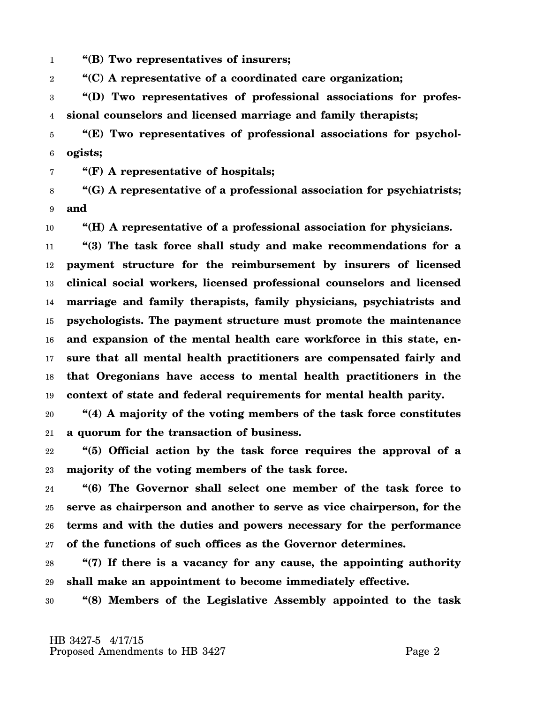1 **"(B) Two representatives of insurers;**

2 **"(C) A representative of a coordinated care organization;**

3 4 **"(D) Two representatives of professional associations for professional counselors and licensed marriage and family therapists;**

5 6 **"(E) Two representatives of professional associations for psychologists;**

7 **"(F) A representative of hospitals;**

8 9 **"(G) A representative of a professional association for psychiatrists; and**

10 **"(H) A representative of a professional association for physicians.**

11 12 13 14 15 16 17 18 19 **"(3) The task force shall study and make recommendations for a payment structure for the reimbursement by insurers of licensed clinical social workers, licensed professional counselors and licensed marriage and family therapists, family physicians, psychiatrists and psychologists. The payment structure must promote the maintenance and expansion of the mental health care workforce in this state, ensure that all mental health practitioners are compensated fairly and that Oregonians have access to mental health practitioners in the context of state and federal requirements for mental health parity.**

20 21 **"(4) A majority of the voting members of the task force constitutes a quorum for the transaction of business.**

22 23 **"(5) Official action by the task force requires the approval of a majority of the voting members of the task force.**

24 25 26 27 **"(6) The Governor shall select one member of the task force to serve as chairperson and another to serve as vice chairperson, for the terms and with the duties and powers necessary for the performance of the functions of such offices as the Governor determines.**

28 29 **"(7) If there is a vacancy for any cause, the appointing authority shall make an appointment to become immediately effective.**

30 **"(8) Members of the Legislative Assembly appointed to the task**